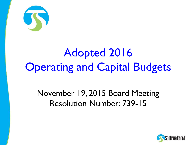

# Adopted 2016 **Operating and Capital Budgets**

November 19, 2015 Board Meeting Resolution Number: 739-15

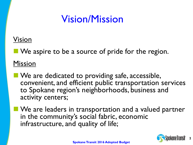# Vision/Mission

#### Vision

We aspire to be a source of pride for the region.

Mission

- **No** We are dedicated to providing safe, accessible, convenient, and efficient public transportation services to Spokane region's neighborhoods, business and activity centers;
- **We are leaders in transportation and a valued partner** in the community's social fabric, economic infrastructure, and quality of life;

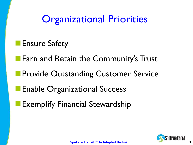**Organizational Priorities** 

**Ensure Safety** 

**Earn and Retain the Community's Trust** 

**Provide Outstanding Customer Service** 

**Enable Organizational Success** 

Exemplify Financial Stewardship

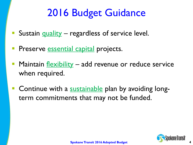# 2016 Budget Guidance

- Sustain quality regardless of service level.
- Preserve essential capital projects.
- Maintain flexibility add revenue or reduce service when required.
- Continue with a sustainable plan by avoiding longterm commitments that may not be funded.

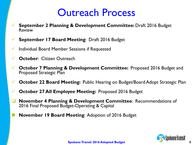## Outreach Process

- **September 2 Planning & Development Committee:** Draft 2016 Budget Review
- **September 17 Board Meeting**: Draft 2016 Budget
- $\checkmark$  Individual Board Member Sessions if Requested
- **October**: Citizen Outreach
- **October 7 Planning & Development Committee:** Proposed 2016 Budget and Proposed Strategic Plan
- **October 22 Board Meeting:** Public Hearing on Budget/Board Adopt Strategic Plan
- **October 27 All Employee Meeting:** Proposed 2016 Budget
- **November 4 Planning & Development Committee**: Recommendations of 2016 Final Proposed Budget-Operating & Capital
	- **November 19 Board Meeting**: Adoption of 2016 Budget

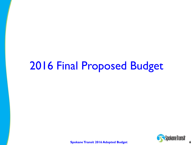# 2016 Final Proposed Budget

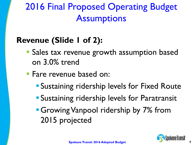# 2016 Final Proposed Operating Budget **Assumptions**

### **Revenue (Slide 1 of 2):**

- **Sales tax revenue growth assumption based** on 3.0% trend
- Fare revenue based on:
	- **Sustaining ridership levels for Fixed Route**
	- **Sustaining ridership levels for Paratransit**
	- **Growing Vanpool ridership by 7% from** 2015 projected

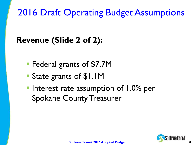# 2016 Draft Operating Budget Assumptions

### **Revenue (Slide 2 of 2):**

- **Federal grants of \$7.7M**
- State grants of \$1.1M
- **Interest rate assumption of 1.0% per** Spokane County Treasurer

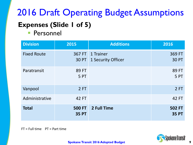# **Expenses (Slide 1 of 5)** 2016 Draft Operating Budget Assumptions

**Personnel** 

| <b>Division</b>    | 2015                          | <b>Additions</b>                       | 2016                          |
|--------------------|-------------------------------|----------------------------------------|-------------------------------|
| <b>Fixed Route</b> | 30 PT                         | 367 FT 1 Trainer<br>1 Security Officer | 369 FT<br><b>30 PT</b>        |
| Paratransit        | 89 FT<br>5 PT                 |                                        | 89 FT<br>5 PT                 |
| Vanpool            | 2FT                           |                                        | 2FT                           |
| Administrative     | 42 FT                         |                                        | 42 FT                         |
| <b>Total</b>       | <b>500 FT</b><br><b>35 PT</b> | 2 Full Time                            | <b>502 FT</b><br><b>35 PT</b> |

 $FT = Full time \tPT = Part time$ 

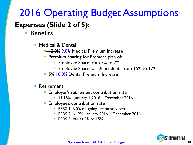# 2016 Operating Budget Assumptions

#### **Expenses (Slide 2 of 5):**

- Benefits
	- **Medical & Dental** 
		- **12.0% 9.0% Medical Premium Increase**
		- **Premium Sharing for Premera plan of:** 
			- Employee Share from 5% to 7%
			- Employee Share for Dependents from 15% to 17%
		- **5% 10.0% Dental Premium Increase**
	- **Retirement** 
		- Employer's retirement contribution rate
			- 11.18% January 1 2016 December 2016
		- Employee's contribution rate
			- **PERS 1 6.0% on-going (statutorily set)**
			- PERS 2 6.12% January 2016 December 2016
			- **PERS 3 Varies 5% to 15%**

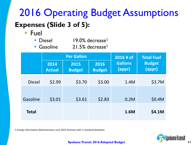# **Expenses (Slide 3 of 5):** 2016 Operating Budget Assumptions

■ Fuel

| <b>Diesel</b> | $19.0\%$ decrease <sup>1</sup> |
|---------------|--------------------------------|
|               |                                |

Gasoline  $21.5\%$  decrease<sup>1</sup>

|               |                       | <b>Per Gallon</b>     | 2016 # of             | <b>Total Fuel</b>        |                         |  |
|---------------|-----------------------|-----------------------|-----------------------|--------------------------|-------------------------|--|
|               | 2014<br><b>Actual</b> | 2015<br><b>Budget</b> | 2016<br><b>Budget</b> | <b>Gallons</b><br>(appr) | <b>Budget</b><br>(appr) |  |
| <b>Diesel</b> | \$2.99                | \$3.70                | \$3.00                | 1.4M                     | \$3.7M                  |  |
| Gasoline      | \$3.01                | \$3.61                | \$2.83                | 0.2M                     | \$0.4M                  |  |
| <b>Total</b>  |                       |                       |                       | 1.6M                     | \$4.1M                  |  |

1 Energy Information Administration June 2015 forecast with ½ standard deviation



**11**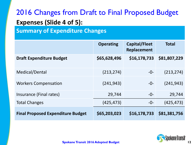### 2016 Changes from Draft to Final Proposed Budget **Expenses (Slide 4 of 5):**

**Summary of Expenditure Changes**

|                                          | <b>Operating</b> | Capital/Fleet<br>Replacement | <b>Total</b> |
|------------------------------------------|------------------|------------------------------|--------------|
| <b>Draft Expenditure Budget</b>          | \$65,628,496     | \$16,178,733                 | \$81,807,229 |
| Medical/Dental                           | (213, 274)       | $-0-$                        | (213, 274)   |
| <b>Workers Compensation</b>              | (241, 943)       | $-0-$                        | (241, 943)   |
| Insurance (Final rates)                  | 29,744           | $-0-$                        | 29,744       |
| <b>Total Changes</b>                     | (425, 473)       | $-0-$                        | (425, 473)   |
| <b>Final Proposed Expenditure Budget</b> | \$65,203,023     | \$16,178,733                 | \$81,381,756 |

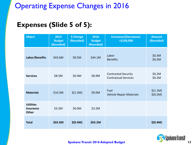#### Operating Expense Changes in 2016

#### **Expenses (Slide 5 of 5):**

| <b>Object</b>                                        | 2015<br><b>Budget</b><br>(Rounded) | \$ Change<br>(Rounded) | 2016<br><b>Budget</b><br>(Rounded) | <b>Increases/(Decreases)</b><br>$>$ \$100,000             | <b>Amount</b><br>(Rounded) |
|------------------------------------------------------|------------------------------------|------------------------|------------------------------------|-----------------------------------------------------------|----------------------------|
| Labor/Benefits                                       | \$43.6M                            | \$0.5M                 | \$44.1M                            | Labor<br><b>Benefits</b>                                  | \$0.3M<br>\$0.2M           |
| <b>Services</b>                                      | \$8.5M                             | \$0.4M                 | \$8.9M                             | <b>Contracted Security</b><br><b>Contractual Services</b> | \$0.2M<br>\$0.2M           |
| <b>Materials</b>                                     | \$10.3M                            | \$(1.3M)               | \$9.0M                             | Fuel<br>Vehicle Repair Materials                          | \$(1.1M)<br>\$(0.2M)       |
| <b>Utilities</b><br><b>Insurance</b><br><b>Other</b> | \$3.2M                             | \$0.0M                 | \$3.2M                             |                                                           |                            |
| <b>Total</b>                                         | \$65.6M                            | \$(0.4M)               | \$65.2M                            |                                                           | \$(0.4M)                   |

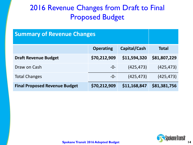#### 2016 Revenue Changes from Draft to Final Proposed Budget

| <b>Summary of Revenue Changes</b>    |                  |              |              |
|--------------------------------------|------------------|--------------|--------------|
|                                      | <b>Operating</b> | Capital/Cash | <b>Total</b> |
| <b>Draft Revenue Budget</b>          | \$70,212,909     | \$11,594,320 | \$81,807,229 |
| Draw on Cash                         | $-0-$            | (425, 473)   | (425, 473)   |
| <b>Total Changes</b>                 | $-0-$            | (425, 473)   | (425, 473)   |
| <b>Final Proposed Revenue Budget</b> | \$81,381,756     |              |              |

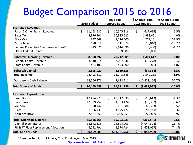# Budget Comparison 2015 to 2016

|                                                   |                  | <b>2016 Final</b>      | \$ Change From    | % Change From |
|---------------------------------------------------|------------------|------------------------|-------------------|---------------|
|                                                   | 2015 Budget      | <b>Proposed Budget</b> | 2015 Budget       | 2015 Budget   |
| <b>Estimated Revenues:</b>                        |                  |                        |                   |               |
| Fares & Other Transit Revenue                     | \$<br>11,163,532 | \$<br>10,545,916       | \$<br>(617, 616)  | $-5.5%$       |
| Sales Tax                                         | 48,376,901       | 50,315,522             | 1,938,621         | 4.0%          |
| <b>State Grants</b>                               | 847,369          | 1,126,500              | 279,131           | 32.9%         |
| Miscellaneous                                     | 670,914          | 511,874                | (159,040)         | $-23.7%$      |
| Federal Preventive Maintenance Grant <sup>1</sup> | 7,749,576        | 7,614,096              | (135, 480)        | $-1.7%$       |
| <b>Other Federal Grants</b>                       |                  | 99,000                 | 99,000            |               |
| <b>Subtotal: Operating Revenues</b>               | 68,808,292       | 70,212,909             | 1,404,617         | 2.0%          |
| <b>Federal Capital Revenue</b>                    | 3,110,914        | 3,037,636              | (73, 278)         | $-2.4%$       |
| <b>State Capital Revenue</b>                      | 484,106          | 493,000                | 8,894             | 1.8%          |
| <b>Subtotal: Capital</b>                          | 3,595,020        | 3,530,636              | (64, 384)         | $-1.8%$       |
| <b>Total Revenue</b>                              | 72,403,312       | 73,743,546             | 1,340,233         | 1.9%          |
| Decrease in Cash Balance                          | 18,066,376       | 7,638,211              | (10, 428, 166)    | $-57.7%$      |
| <b>Total Source of Funds</b>                      | 90,469,689       | \$<br>81,381,756       | \$<br>(9,087,932) | $-10.0%$      |
| <b>Estimated Expenditures:</b>                    |                  |                        |                   |               |
| <b>Fixed Route Bus</b>                            | \$<br>43,474,273 | \$<br>42,917,630       | \$<br>(556, 643)  | $-1.3%$       |
| Paratransit                                       | 12,029,757       | 11,953,424             | (76, 332)         | $-0.6%$       |
| Vanpool                                           | 870,447          | 701,084                | (169, 363)        | $-19.5%$      |
| Plaza                                             | 1,366,439        | 1,575,427              | 208,988           | 15.3%         |
| Administrative                                    | 7,827,650        | 8,055,459              | 227,809           | 2.9%          |
| <b>Total Operating Expense</b>                    | 65,568,565       | 65,203,023             | (365, 541)        | $-0.6%$       |
| <b>Capital Expenditures</b>                       | 18,642,333       | 14,604,009             | (4,044,324)       | $-21.7%$      |
| FR & PT Fleet Replacement Allocation              | 6,252,791        | 1,574,724              | (4,678,067)       | $-74.8%$      |
| <b>Total Use of Funds</b>                         | \$<br>90,469,689 | \$81,381,756           | \$<br>(9,087,932) | $-10.0%$      |

<sup>1</sup> Assumes funding of Highway Trust Fund beyond May 2015.

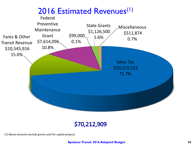

#### \$70,212,909

(1) Above amounts exclude grants used for capital projects.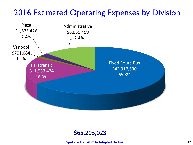### 2016 Estimated Operating Expenses by Division



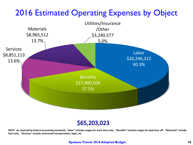### 2016 Estimated Operating Expenses by Object



#### \$65,203,023

**NOTE: As required by federal accounting standards, "labor" includes wages for work time only. "Benefits" includes wages for paid time off. "Materials" include fuel costs. "Services" include contracted transportation, legal, etc.**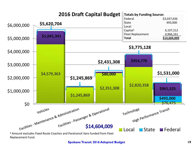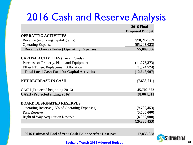# 2016 Cash and Reserve Analysis

|                                                     | <b>2016 Final</b>      |
|-----------------------------------------------------|------------------------|
|                                                     | <b>Proposed Budget</b> |
| <b>OPERATING ACTIVITIES</b>                         |                        |
| Revenue (excluding capital grants)                  | \$70,212,909           |
| <b>Operating Expense</b>                            | (65,203,023)           |
| <b>Revenue Over / (Under) Operating Expenses</b>    | \$5,009,886            |
| <b>CAPITAL ACTIVITIES (Local Funds)</b>             |                        |
| Purchase of Property, Plant, and Equipment          | (11, 073, 373)         |
| FR & PT Fleet Replacement Allocation                | (1,574,724)            |
| <b>Total Local Cash Used for Capital Activities</b> | (12, 648, 097)         |
| <b>NET DECREASE IN CASH</b>                         | (7,638,211)            |
| CASH (Projected beginning 2016)                     | 45,702,522             |
| <b>CASH</b> (Projected ending 2016)                 | 38,064,311             |
| <b>BOARD DESIGNATED RESERVES</b>                    |                        |
| Operating Reserve (15% of Operating Expenses)       | (9,780,453)            |
| <b>Risk Reserve</b>                                 | (5,500,000)            |
| <b>Right of Way Acquisition Reserve</b>             | (4,950,000)            |
|                                                     | (20, 230, 453)         |

**2016 Estimated End of Year Cash Balance After Reserves 17,833,858**